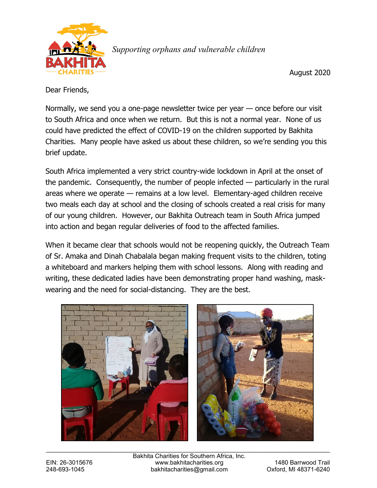

*Supporting orphans and vulnerable children*

August 2020

Dear Friends,

Normally, we send you a one-page newsletter twice per year — once before our visit to South Africa and once when we return. But this is not a normal year. None of us could have predicted the effect of COVID-19 on the children supported by Bakhita Charities. Many people have asked us about these children, so we're sending you this brief update.

South Africa implemented a very strict country-wide lockdown in April at the onset of the pandemic. Consequently, the number of people infected — particularly in the rural areas where we operate — remains at a low level. Elementary-aged children receive two meals each day at school and the closing of schools created a real crisis for many of our young children. However, our Bakhita Outreach team in South Africa jumped into action and began regular deliveries of food to the affected families.

When it became clear that schools would not be reopening quickly, the Outreach Team of Sr. Amaka and Dinah Chabalala began making frequent visits to the children, toting a whiteboard and markers helping them with school lessons. Along with reading and writing, these dedicated ladies have been demonstrating proper hand washing, maskwearing and the need for social-distancing. They are the best.